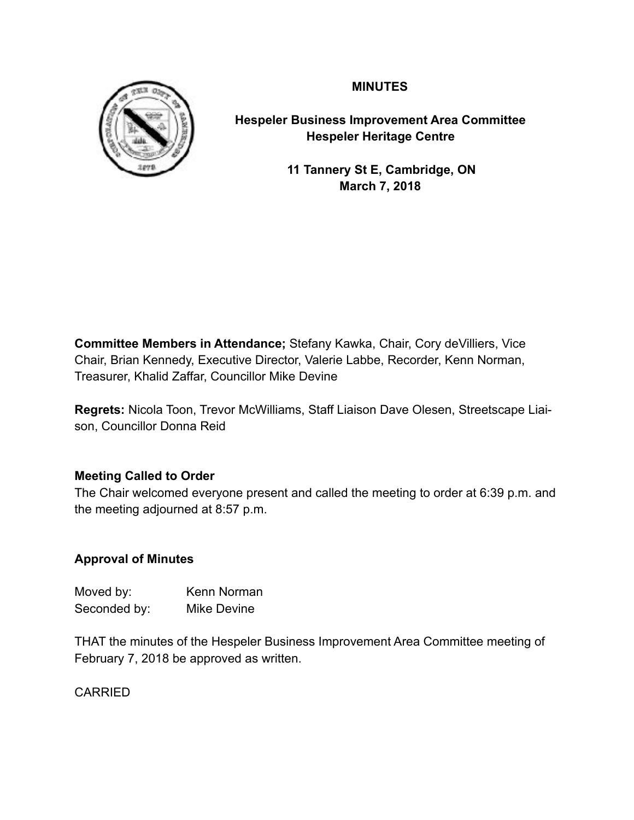**MINUTES**



**Hespeler Business Improvement Area Committee Hespeler Heritage Centre**

> **11 Tannery St E, Cambridge, ON March 7, 2018**

**Committee Members in Attendance;** Stefany Kawka, Chair, Cory deVilliers, Vice Chair, Brian Kennedy, Executive Director, Valerie Labbe, Recorder, Kenn Norman, Treasurer, Khalid Zaffar, Councillor Mike Devine

**Regrets:** Nicola Toon, Trevor McWilliams, Staff Liaison Dave Olesen, Streetscape Liaison, Councillor Donna Reid

# **Meeting Called to Order**

The Chair welcomed everyone present and called the meeting to order at 6:39 p.m. and the meeting adjourned at 8:57 p.m.

# **Approval of Minutes**

| Moved by:    | Kenn Norman |
|--------------|-------------|
| Seconded by: | Mike Devine |

THAT the minutes of the Hespeler Business Improvement Area Committee meeting of February 7, 2018 be approved as written.

CARRIED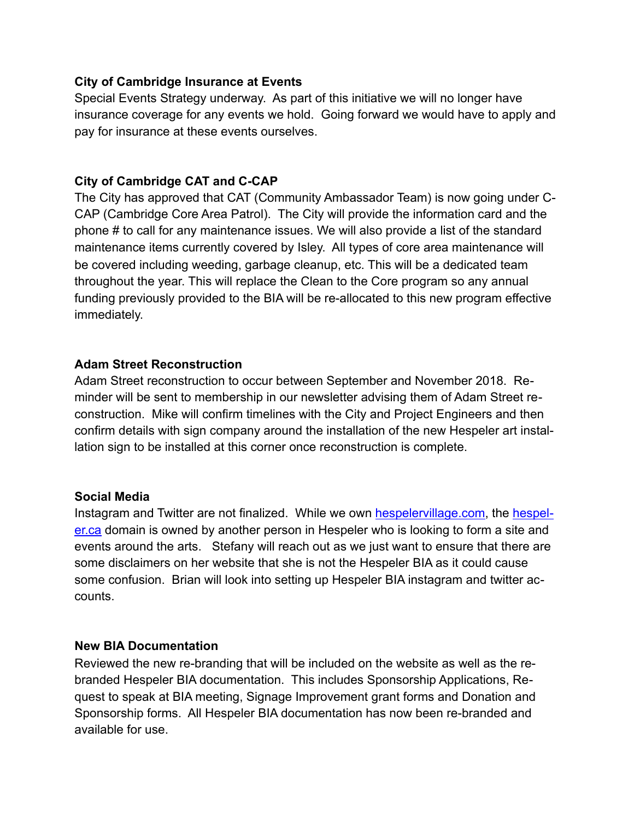# **City of Cambridge Insurance at Events**

Special Events Strategy underway. As part of this initiative we will no longer have insurance coverage for any events we hold. Going forward we would have to apply and pay for insurance at these events ourselves.

# **City of Cambridge CAT and C-CAP**

The City has approved that CAT (Community Ambassador Team) is now going under C-CAP (Cambridge Core Area Patrol). The City will provide the information card and the phone # to call for any maintenance issues. We will also provide a list of the standard maintenance items currently covered by Isley. All types of core area maintenance will be covered including weeding, garbage cleanup, etc. This will be a dedicated team throughout the year. This will replace the Clean to the Core program so any annual funding previously provided to the BIA will be re-allocated to this new program effective immediately.

# **Adam Street Reconstruction**

Adam Street reconstruction to occur between September and November 2018. Reminder will be sent to membership in our newsletter advising them of Adam Street reconstruction. Mike will confirm timelines with the City and Project Engineers and then confirm details with sign company around the installation of the new Hespeler art installation sign to be installed at this corner once reconstruction is complete.

# **Social Media**

Instagram and Twitter are not finalized. While we own [hespelervillage.com,](http://hespelervillage.com) the [hespel](http://hespeler.ca)[er.ca](http://hespeler.ca) domain is owned by another person in Hespeler who is looking to form a site and events around the arts. Stefany will reach out as we just want to ensure that there are some disclaimers on her website that she is not the Hespeler BIA as it could cause some confusion. Brian will look into setting up Hespeler BIA instagram and twitter accounts.

# **New BIA Documentation**

Reviewed the new re-branding that will be included on the website as well as the rebranded Hespeler BIA documentation. This includes Sponsorship Applications, Request to speak at BIA meeting, Signage Improvement grant forms and Donation and Sponsorship forms. All Hespeler BIA documentation has now been re-branded and available for use.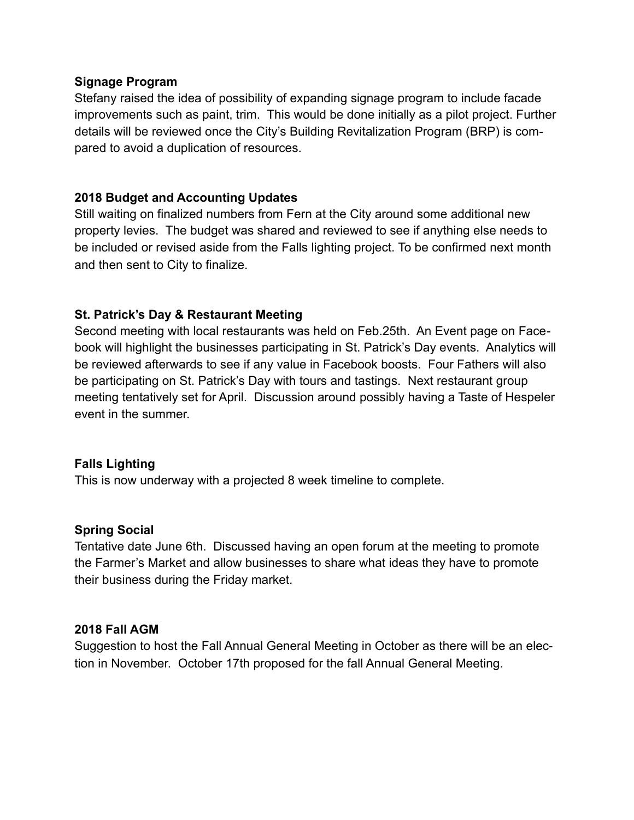#### **Signage Program**

Stefany raised the idea of possibility of expanding signage program to include facade improvements such as paint, trim. This would be done initially as a pilot project. Further details will be reviewed once the City's Building Revitalization Program (BRP) is compared to avoid a duplication of resources.

# **2018 Budget and Accounting Updates**

Still waiting on finalized numbers from Fern at the City around some additional new property levies. The budget was shared and reviewed to see if anything else needs to be included or revised aside from the Falls lighting project. To be confirmed next month and then sent to City to finalize.

# **St. Patrick's Day & Restaurant Meeting**

Second meeting with local restaurants was held on Feb.25th. An Event page on Facebook will highlight the businesses participating in St. Patrick's Day events. Analytics will be reviewed afterwards to see if any value in Facebook boosts. Four Fathers will also be participating on St. Patrick's Day with tours and tastings. Next restaurant group meeting tentatively set for April. Discussion around possibly having a Taste of Hespeler event in the summer.

## **Falls Lighting**

This is now underway with a projected 8 week timeline to complete.

## **Spring Social**

Tentative date June 6th. Discussed having an open forum at the meeting to promote the Farmer's Market and allow businesses to share what ideas they have to promote their business during the Friday market.

## **2018 Fall AGM**

Suggestion to host the Fall Annual General Meeting in October as there will be an election in November. October 17th proposed for the fall Annual General Meeting.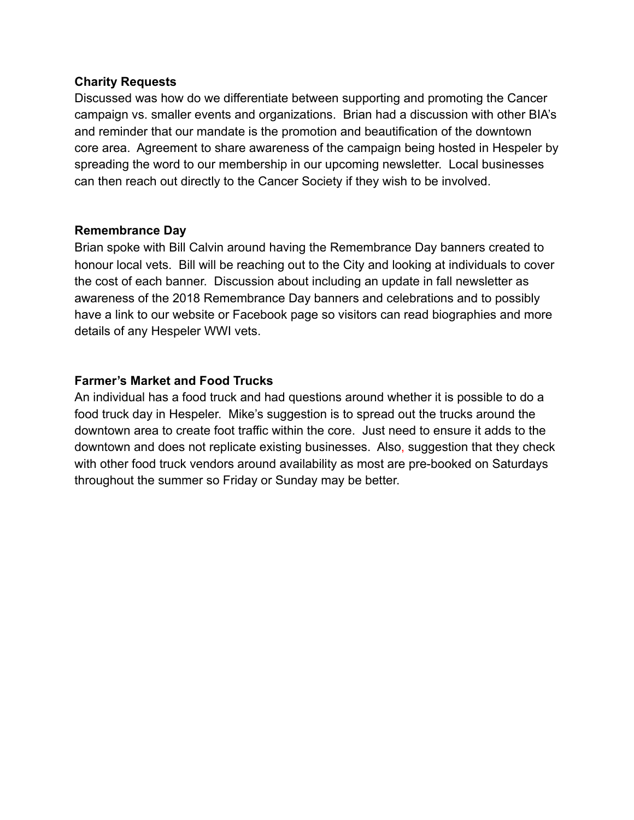#### **Charity Requests**

Discussed was how do we differentiate between supporting and promoting the Cancer campaign vs. smaller events and organizations. Brian had a discussion with other BIA's and reminder that our mandate is the promotion and beautification of the downtown core area. Agreement to share awareness of the campaign being hosted in Hespeler by spreading the word to our membership in our upcoming newsletter. Local businesses can then reach out directly to the Cancer Society if they wish to be involved.

#### **Remembrance Day**

Brian spoke with Bill Calvin around having the Remembrance Day banners created to honour local vets. Bill will be reaching out to the City and looking at individuals to cover the cost of each banner. Discussion about including an update in fall newsletter as awareness of the 2018 Remembrance Day banners and celebrations and to possibly have a link to our website or Facebook page so visitors can read biographies and more details of any Hespeler WWI vets.

## **Farmer's Market and Food Trucks**

An individual has a food truck and had questions around whether it is possible to do a food truck day in Hespeler. Mike's suggestion is to spread out the trucks around the downtown area to create foot traffic within the core. Just need to ensure it adds to the downtown and does not replicate existing businesses. Also, suggestion that they check with other food truck vendors around availability as most are pre-booked on Saturdays throughout the summer so Friday or Sunday may be better.